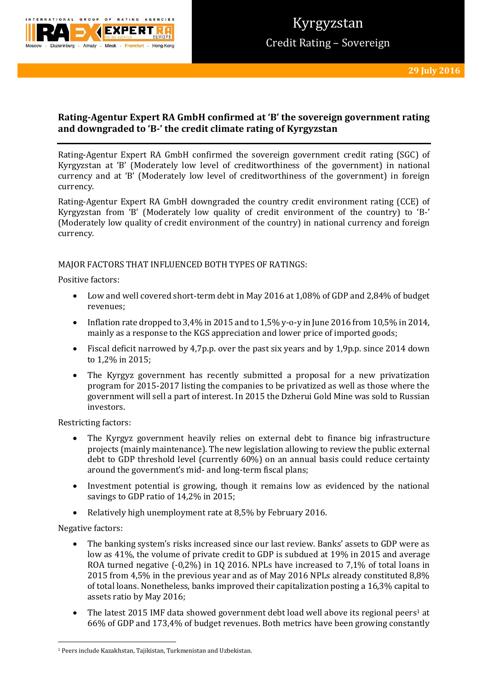

# **Rating-Agentur Expert RA GmbH confirmed at 'B' the sovereign government rating and downgraded to 'B-' the credit climate rating of Kyrgyzstan**

Rating-Agentur Expert RA GmbH confirmed the sovereign government credit rating (SGC) of Kyrgyzstan at 'B' (Moderately low level of creditworthiness of the government) in national currency and at 'B' (Moderately low level of creditworthiness of the government) in foreign currency.

Rating-Agentur Expert RA GmbH downgraded the country credit environment rating (CCE) of Kyrgyzstan from 'B' (Moderately low quality of credit environment of the country) to 'B-' (Moderately low quality of credit environment of the country) in national currency and foreign currency.

## MAJOR FACTORS THAT INFLUENCED BOTH TYPES OF RATINGS:

Positive factors:

- Low and well covered short-term debt in May 2016 at 1,08% of GDP and 2,84% of budget revenues;
- Inflation rate dropped to 3,4% in 2015 and to 1,5% y-o-y in June 2016 from 10,5% in 2014, mainly as a response to the KGS appreciation and lower price of imported goods;
- Fiscal deficit narrowed by 4,7p.p. over the past six years and by 1,9p.p. since 2014 down to 1,2% in 2015;
- The Kyrgyz government has recently submitted a proposal for a new privatization program for 2015-2017 listing the companies to be privatized as well as those where the government will sell a part of interest. In 2015 the Dzherui Gold Mine was sold to Russian investors.

Restricting factors:

- The Kyrgyz government heavily relies on external debt to finance big infrastructure projects (mainly maintenance). The new legislation allowing to review the public external debt to GDP threshold level (currently 60%) on an annual basis could reduce certainty around the government's mid- and long-term fiscal plans;
- Investment potential is growing, though it remains low as evidenced by the national savings to GDP ratio of 14,2% in 2015;
- Relatively high unemployment rate at 8,5% by February 2016.

### Negative factors:

**.** 

- The banking system's risks increased since our last review. Banks' assets to GDP were as low as 41%, the volume of private credit to GDP is subdued at 19% in 2015 and average ROA turned negative (-0,2%) in 1Q 2016. NPLs have increased to 7,1% of total loans in 2015 from 4,5% in the previous year and as of May 2016 NPLs already constituted 8,8% of total loans. Nonetheless, banks improved their capitalization posting a 16,3% capital to assets ratio by May 2016;
- The latest 2015 IMF data showed government debt load well above its regional peers<sup>1</sup> at 66% of GDP and 173,4% of budget revenues. Both metrics have been growing constantly

<sup>1</sup> Peers include Kazakhstan, Tajikistan, Turkmenistan and Uzbekistan.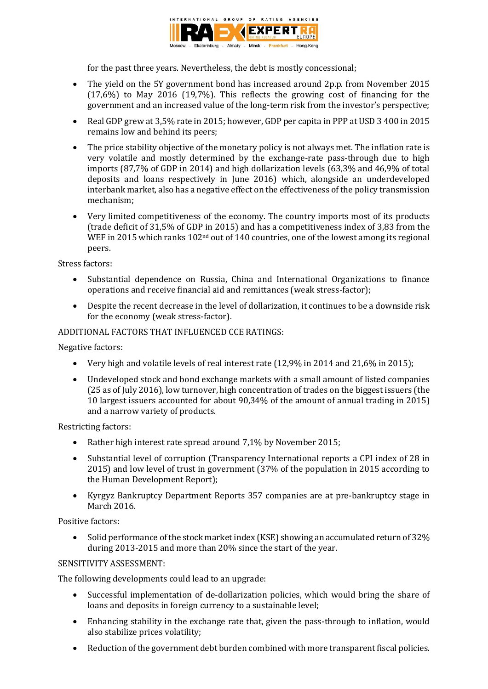

for the past three years. Nevertheless, the debt is mostly concessional;

- The yield on the 5Y government bond has increased around 2p.p. from November 2015 (17,6%) to May 2016 (19,7%). This reflects the growing cost of financing for the government and an increased value of the long-term risk from the investor's perspective;
- Real GDP grew at 3,5% rate in 2015; however, GDP per capita in PPP at USD 3 400 in 2015 remains low and behind its peers;
- The price stability objective of the monetary policy is not always met. The inflation rate is very volatile and mostly determined by the exchange-rate pass-through due to high imports (87,7% of GDP in 2014) and high dollarization levels (63,3% and 46,9% of total deposits and loans respectively in June 2016) which, alongside an underdeveloped interbank market, also has a negative effect on the effectiveness of the policy transmission mechanism;
- Very limited competitiveness of the economy. The country imports most of its products (trade deficit of 31,5% of GDP in 2015) and has a competitiveness index of 3,83 from the WEF in 2015 which ranks 102<sup>nd</sup> out of 140 countries, one of the lowest among its regional peers.

## Stress factors:

- Substantial dependence on Russia, China and International Organizations to finance operations and receive financial aid and remittances (weak stress-factor);
- Despite the recent decrease in the level of dollarization, it continues to be a downside risk for the economy (weak stress-factor).

## ADDITIONAL FACTORS THAT INFLUENCED CCE RATINGS:

Negative factors:

- Very high and volatile levels of real interest rate (12,9% in 2014 and 21,6% in 2015);
- Undeveloped stock and bond exchange markets with a small amount of listed companies (25 as of July 2016), low turnover, high concentration of trades on the biggest issuers (the 10 largest issuers accounted for about 90,34% of the amount of annual trading in 2015) and a narrow variety of products.

Restricting factors:

- Rather high interest rate spread around 7,1% by November 2015;
- Substantial level of corruption (Transparency International reports a CPI index of 28 in 2015) and low level of trust in government (37% of the population in 2015 according to the Human Development Report);
- Kyrgyz Bankruptcy Department Reports 357 companies are at pre-bankruptcy stage in March 2016.

Positive factors:

• Solid performance of the stock market index (KSE) showing an accumulated return of 32% during 2013-2015 and more than 20% since the start of the year.

## SENSITIVITY ASSESSMENT:

The following developments could lead to an upgrade:

- Successful implementation of de-dollarization policies, which would bring the share of loans and deposits in foreign currency to a sustainable level;
- Enhancing stability in the exchange rate that, given the pass-through to inflation, would also stabilize prices volatility;
- Reduction of the government debt burden combined with more transparent fiscal policies.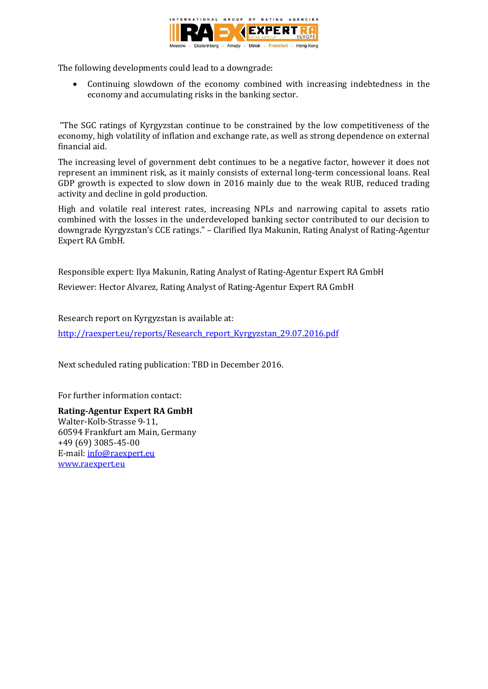

The following developments could lead to a downgrade:

 Continuing slowdown of the economy combined with increasing indebtedness in the economy and accumulating risks in the banking sector.

"The SGC ratings of Kyrgyzstan continue to be constrained by the low competitiveness of the economy, high volatility of inflation and exchange rate, as well as strong dependence on external financial aid.

The increasing level of government debt continues to be a negative factor, however it does not represent an imminent risk, as it mainly consists of external long-term concessional loans. Real GDP growth is expected to slow down in 2016 mainly due to the weak RUB, reduced trading activity and decline in gold production.

High and volatile real interest rates, increasing NPLs and narrowing capital to assets ratio combined with the losses in the underdeveloped banking sector contributed to our decision to downgrade Kyrgyzstan's CCE ratings." – Clarified Ilya Makunin, Rating Analyst of Rating-Agentur Expert RA GmbH.

Responsible expert: Ilya Makunin, Rating Analyst of Rating-Agentur Expert RA GmbH

Reviewer: Hector Alvarez, Rating Analyst of Rating-Agentur Expert RA GmbH

Research report on Kyrgyzstan is available at:

[http://raexpert.eu/reports/Research\\_report\\_Kyrgyzstan\\_29.07.2016.pdf](http://raexpert.eu/reports/Research_report_Kyrgyzstan_29.07.2016.pdf)

Next scheduled rating publication: TBD in December 2016.

For further information contact:

**Rating-Agentur Expert RA GmbH** Walter-Kolb-Strasse 9-11, 60594 Frankfurt am Main, Germany +49 (69) 3085-45-00 E-mail[: info@raexpert.eu](mailto:info@raexpert.eu) [www.raexpert.eu](http://raexpert.eu/)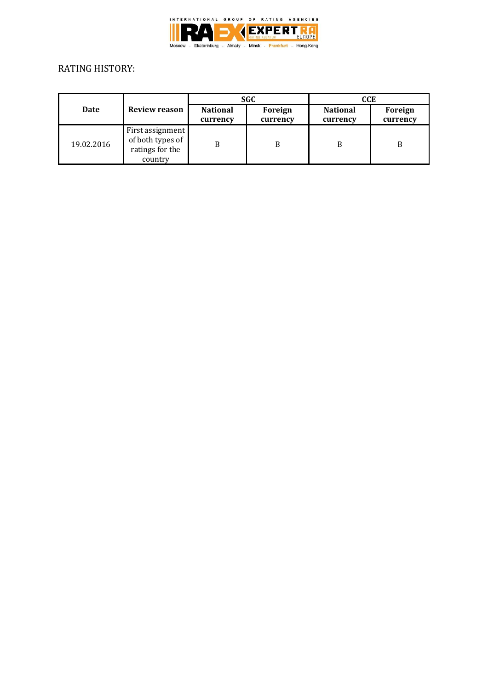

# RATING HISTORY:

| Date       | Review reason                                                      | <b>SGC</b>                  |                     | CCE                         |                     |
|------------|--------------------------------------------------------------------|-----------------------------|---------------------|-----------------------------|---------------------|
|            |                                                                    | <b>National</b><br>currency | Foreign<br>currency | <b>National</b><br>currency | Foreign<br>currency |
| 19.02.2016 | First assignment<br>of both types of<br>ratings for the<br>country | B                           | B                   | B                           | B                   |